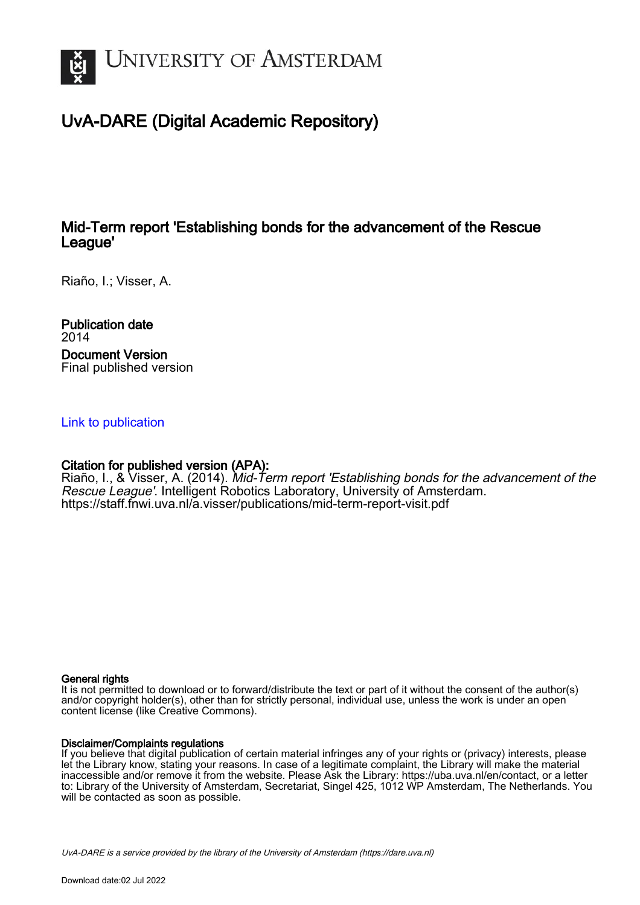

# UvA-DARE (Digital Academic Repository)

## Mid-Term report 'Establishing bonds for the advancement of the Rescue League'

Riaño, I.; Visser, A.

Publication date 2014 Document Version Final published version

## [Link to publication](https://dare.uva.nl/personal/pure/en/publications/midterm-report-establishing-bonds-for-the-advancement-of-the-rescue-league(2aa5fb18-311c-4eb7-860d-8dea4078b728).html)

## Citation for published version (APA):

Riaño, I., & Visser, A. (2014). Mid-Term report 'Establishing bonds for the advancement of the Rescue League'. Intelligent Robotics Laboratory, University of Amsterdam. <https://staff.fnwi.uva.nl/a.visser/publications/mid-term-report-visit.pdf>

#### General rights

It is not permitted to download or to forward/distribute the text or part of it without the consent of the author(s) and/or copyright holder(s), other than for strictly personal, individual use, unless the work is under an open content license (like Creative Commons).

#### Disclaimer/Complaints regulations

If you believe that digital publication of certain material infringes any of your rights or (privacy) interests, please let the Library know, stating your reasons. In case of a legitimate complaint, the Library will make the material inaccessible and/or remove it from the website. Please Ask the Library: https://uba.uva.nl/en/contact, or a letter to: Library of the University of Amsterdam, Secretariat, Singel 425, 1012 WP Amsterdam, The Netherlands. You will be contacted as soon as possible.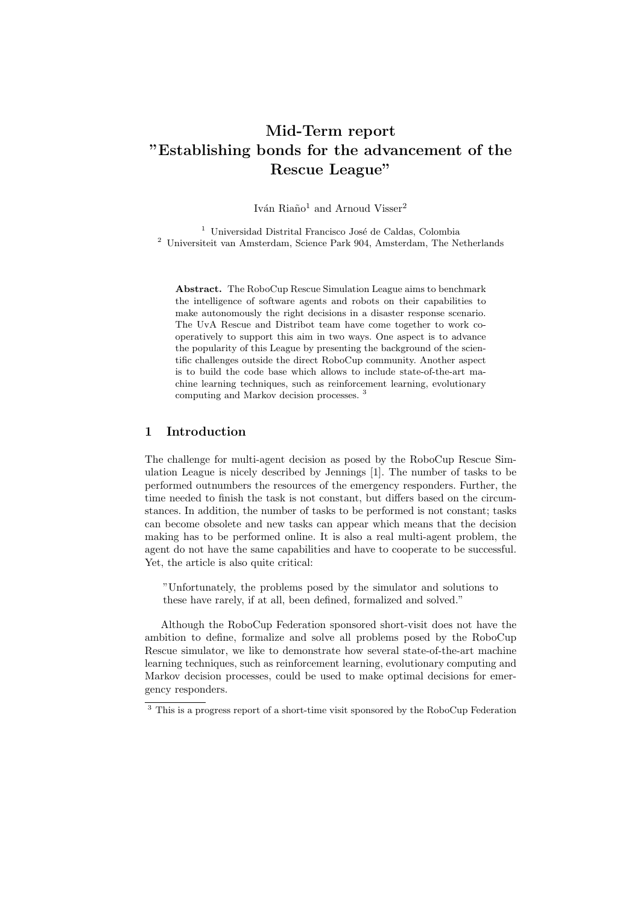## Mid-Term report "Establishing bonds for the advancement of the Rescue League"

Iván Riaño<sup>1</sup> and Arnoud Visser<sup>2</sup>

 $1$  Universidad Distrital Francisco José de Caldas, Colombia  $^2\,$  Universiteit van Amsterdam, Science Park 904, Amsterdam, The Netherlands

Abstract. The RoboCup Rescue Simulation League aims to benchmark the intelligence of software agents and robots on their capabilities to make autonomously the right decisions in a disaster response scenario. The UvA Rescue and Distribot team have come together to work cooperatively to support this aim in two ways. One aspect is to advance the popularity of this League by presenting the background of the scientific challenges outside the direct RoboCup community. Another aspect is to build the code base which allows to include state-of-the-art machine learning techniques, such as reinforcement learning, evolutionary computing and Markov decision processes. <sup>3</sup>

### 1 Introduction

The challenge for multi-agent decision as posed by the RoboCup Rescue Simulation League is nicely described by Jennings [1]. The number of tasks to be performed outnumbers the resources of the emergency responders. Further, the time needed to finish the task is not constant, but differs based on the circumstances. In addition, the number of tasks to be performed is not constant; tasks can become obsolete and new tasks can appear which means that the decision making has to be performed online. It is also a real multi-agent problem, the agent do not have the same capabilities and have to cooperate to be successful. Yet, the article is also quite critical:

"Unfortunately, the problems posed by the simulator and solutions to these have rarely, if at all, been defined, formalized and solved."

Although the RoboCup Federation sponsored short-visit does not have the ambition to define, formalize and solve all problems posed by the RoboCup Rescue simulator, we like to demonstrate how several state-of-the-art machine learning techniques, such as reinforcement learning, evolutionary computing and Markov decision processes, could be used to make optimal decisions for emergency responders.

 $^3$  This is a progress report of a short-time visit sponsored by the RoboCup Federation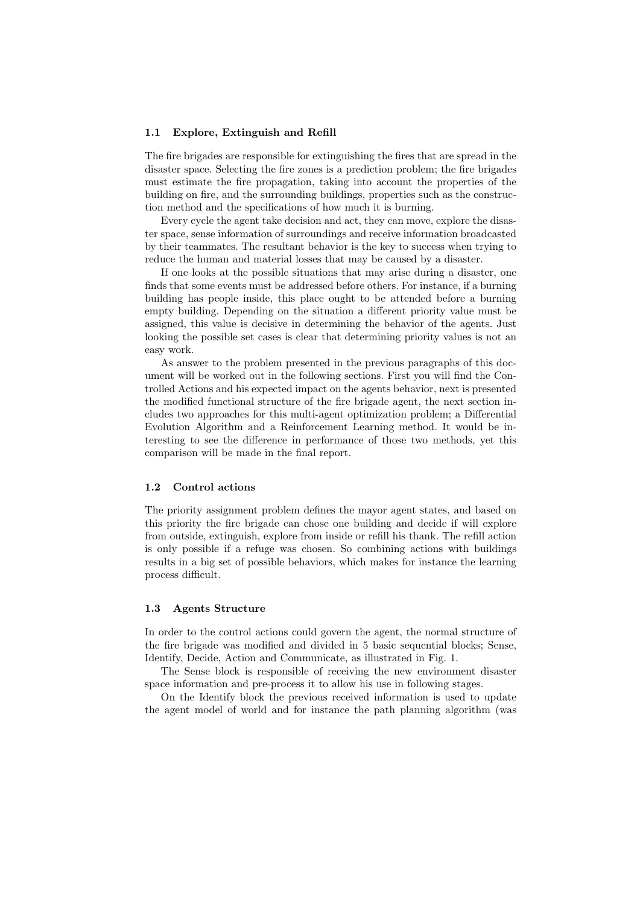#### 1.1 Explore, Extinguish and Refill

The fire brigades are responsible for extinguishing the fires that are spread in the disaster space. Selecting the fire zones is a prediction problem; the fire brigades must estimate the fire propagation, taking into account the properties of the building on fire, and the surrounding buildings, properties such as the construction method and the specifications of how much it is burning.

Every cycle the agent take decision and act, they can move, explore the disaster space, sense information of surroundings and receive information broadcasted by their teammates. The resultant behavior is the key to success when trying to reduce the human and material losses that may be caused by a disaster.

If one looks at the possible situations that may arise during a disaster, one finds that some events must be addressed before others. For instance, if a burning building has people inside, this place ought to be attended before a burning empty building. Depending on the situation a different priority value must be assigned, this value is decisive in determining the behavior of the agents. Just looking the possible set cases is clear that determining priority values is not an easy work.

As answer to the problem presented in the previous paragraphs of this document will be worked out in the following sections. First you will find the Controlled Actions and his expected impact on the agents behavior, next is presented the modified functional structure of the fire brigade agent, the next section includes two approaches for this multi-agent optimization problem; a Differential Evolution Algorithm and a Reinforcement Learning method. It would be interesting to see the difference in performance of those two methods, yet this comparison will be made in the final report.

#### 1.2 Control actions

The priority assignment problem defines the mayor agent states, and based on this priority the fire brigade can chose one building and decide if will explore from outside, extinguish, explore from inside or refill his thank. The refill action is only possible if a refuge was chosen. So combining actions with buildings results in a big set of possible behaviors, which makes for instance the learning process difficult.

#### 1.3 Agents Structure

In order to the control actions could govern the agent, the normal structure of the fire brigade was modified and divided in 5 basic sequential blocks; Sense, Identify, Decide, Action and Communicate, as illustrated in Fig. 1.

The Sense block is responsible of receiving the new environment disaster space information and pre-process it to allow his use in following stages.

On the Identify block the previous received information is used to update the agent model of world and for instance the path planning algorithm (was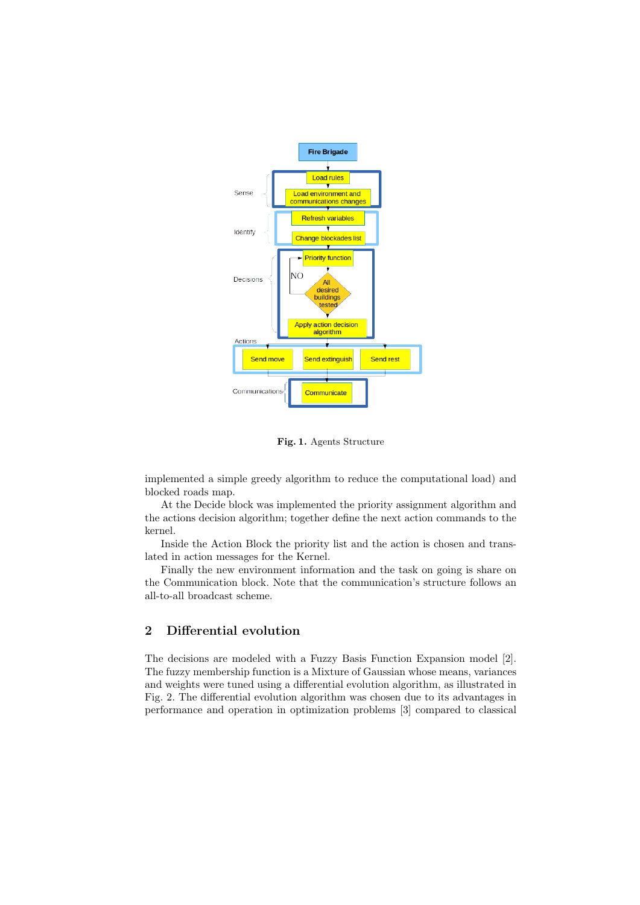

Fig. 1. Agents Structure

implemented a simple greedy algorithm to reduce the computational load) and blocked roads map.

At the Decide block was implemented the priority assignment algorithm and the actions decision algorithm; together define the next action commands to the kernel.

Inside the Action Block the priority list and the action is chosen and translated in action messages for the Kernel.

Finally the new environment information and the task on going is share on the Communication block. Note that the communication's structure follows an all-to-all broadcast scheme.

### 2 Differential evolution

The decisions are modeled with a Fuzzy Basis Function Expansion model [2]. The fuzzy membership function is a Mixture of Gaussian whose means, variances and weights were tuned using a differential evolution algorithm, as illustrated in Fig. 2. The differential evolution algorithm was chosen due to its advantages in performance and operation in optimization problems [3] compared to classical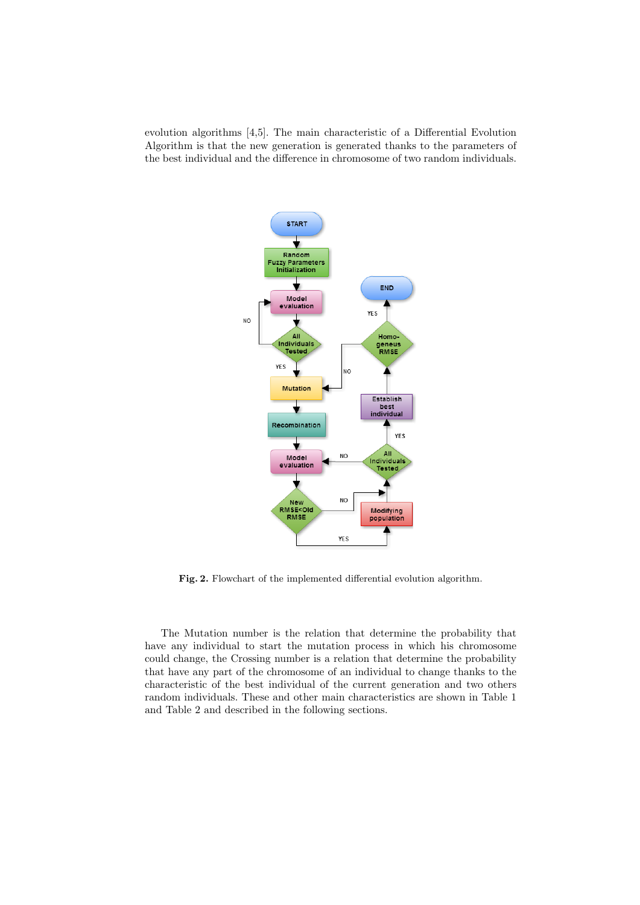evolution algorithms [4,5]. The main characteristic of a Differential Evolution Algorithm is that the new generation is generated thanks to the parameters of the best individual and the difference in chromosome of two random individuals.



Fig. 2. Flowchart of the implemented differential evolution algorithm.

The Mutation number is the relation that determine the probability that have any individual to start the mutation process in which his chromosome could change, the Crossing number is a relation that determine the probability that have any part of the chromosome of an individual to change thanks to the characteristic of the best individual of the current generation and two others random individuals. These and other main characteristics are shown in Table 1 and Table 2 and described in the following sections.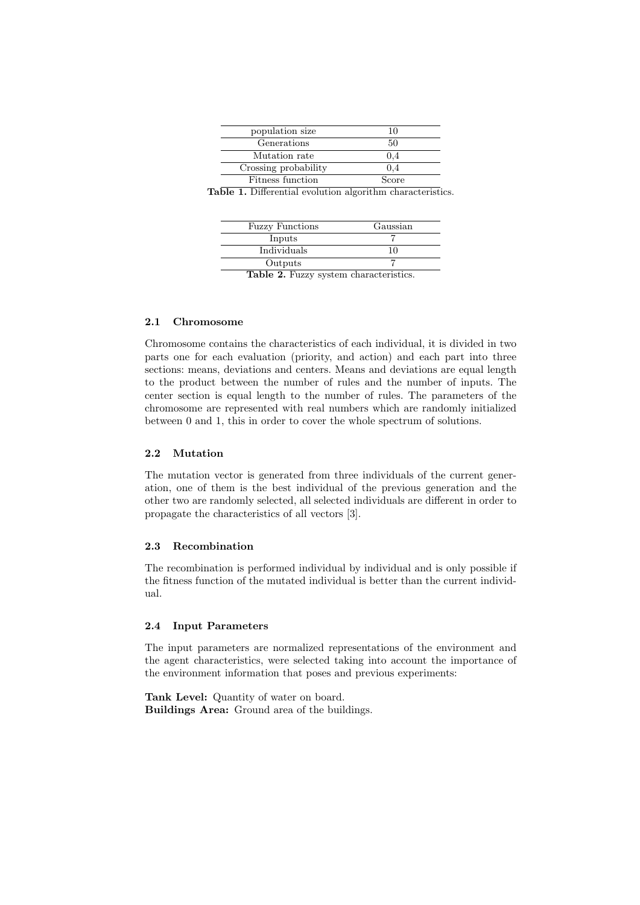| population size      | 10    |
|----------------------|-------|
| Generations          | 50    |
| Mutation rate        | (0.4) |
| Crossing probability | (0.4) |
| Fitness function     | Score |

Table 1. Differential evolution algorithm characteristics.

| <b>Fuzzy Functions</b> | Gaussian |
|------------------------|----------|
| Inputs                 |          |
| Individuals            |          |
| Outputs                |          |
|                        |          |

Table 2. Fuzzy system characteristics.

#### 2.1 Chromosome

Chromosome contains the characteristics of each individual, it is divided in two parts one for each evaluation (priority, and action) and each part into three sections: means, deviations and centers. Means and deviations are equal length to the product between the number of rules and the number of inputs. The center section is equal length to the number of rules. The parameters of the chromosome are represented with real numbers which are randomly initialized between 0 and 1, this in order to cover the whole spectrum of solutions.

#### 2.2 Mutation

The mutation vector is generated from three individuals of the current generation, one of them is the best individual of the previous generation and the other two are randomly selected, all selected individuals are different in order to propagate the characteristics of all vectors [3].

#### 2.3 Recombination

The recombination is performed individual by individual and is only possible if the fitness function of the mutated individual is better than the current individual.

#### 2.4 Input Parameters

The input parameters are normalized representations of the environment and the agent characteristics, were selected taking into account the importance of the environment information that poses and previous experiments:

Tank Level: Quantity of water on board. Buildings Area: Ground area of the buildings.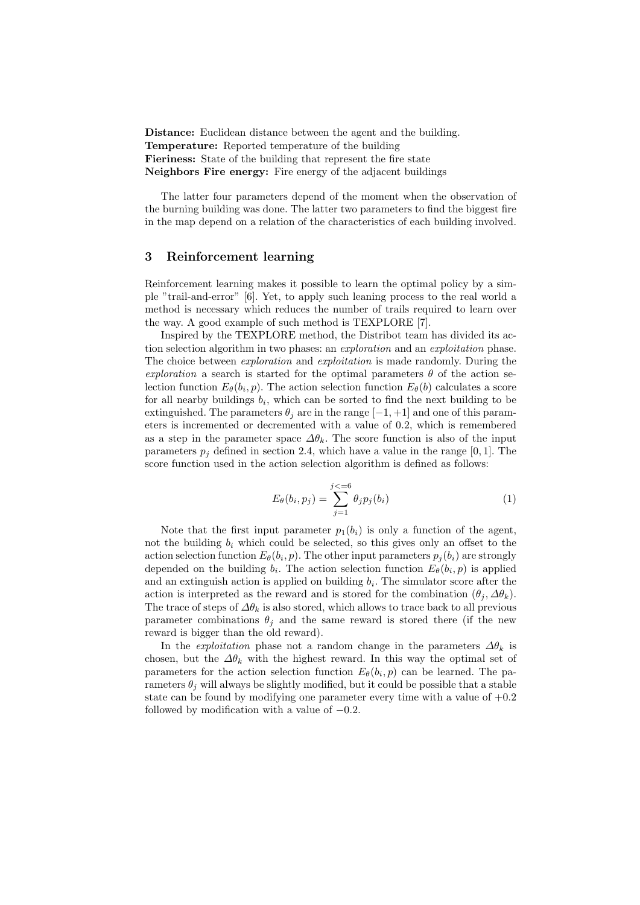Distance: Euclidean distance between the agent and the building. Temperature: Reported temperature of the building Fieriness: State of the building that represent the fire state Neighbors Fire energy: Fire energy of the adjacent buildings

The latter four parameters depend of the moment when the observation of the burning building was done. The latter two parameters to find the biggest fire in the map depend on a relation of the characteristics of each building involved.

#### 3 Reinforcement learning

Reinforcement learning makes it possible to learn the optimal policy by a simple "trail-and-error" [6]. Yet, to apply such leaning process to the real world a method is necessary which reduces the number of trails required to learn over the way. A good example of such method is TEXPLORE [7].

Inspired by the TEXPLORE method, the Distribot team has divided its action selection algorithm in two phases: an *exploration* and an *exploitation* phase. The choice between *exploration* and *exploitation* is made randomly. During the exploration a search is started for the optimal parameters  $\theta$  of the action selection function  $E_{\theta}(b_i, p)$ . The action selection function  $E_{\theta}(b)$  calculates a score for all nearby buildings  $b_i$ , which can be sorted to find the next building to be extinguished. The parameters  $\theta_i$  are in the range  $[-1, +1]$  and one of this parameters is incremented or decremented with a value of 0.2, which is remembered as a step in the parameter space  $\Delta\theta_k$ . The score function is also of the input parameters  $p_i$  defined in section 2.4, which have a value in the range [0, 1]. The score function used in the action selection algorithm is defined as follows:

$$
E_{\theta}(b_i, p_j) = \sum_{j=1}^{j \lt = 6} \theta_j p_j(b_i)
$$
 (1)

Note that the first input parameter  $p_1(b_i)$  is only a function of the agent, not the building  $b_i$  which could be selected, so this gives only an offset to the action selection function  $E_{\theta}(b_i, p)$ . The other input parameters  $p_j(b_i)$  are strongly depended on the building  $b_i$ . The action selection function  $E_{\theta}(b_i, p)$  is applied and an extinguish action is applied on building  $b_i$ . The simulator score after the action is interpreted as the reward and is stored for the combination  $(\theta_i, \Delta\theta_k)$ . The trace of steps of  $\Delta\theta_k$  is also stored, which allows to trace back to all previous parameter combinations  $\theta_i$  and the same reward is stored there (if the new reward is bigger than the old reward).

In the *exploitation* phase not a random change in the parameters  $\Delta\theta_k$  is chosen, but the  $\Delta\theta_k$  with the highest reward. In this way the optimal set of parameters for the action selection function  $E_{\theta}(b_i, p)$  can be learned. The parameters  $\theta_i$  will always be slightly modified, but it could be possible that a stable state can be found by modifying one parameter every time with a value of  $+0.2$ followed by modification with a value of  $-0.2$ .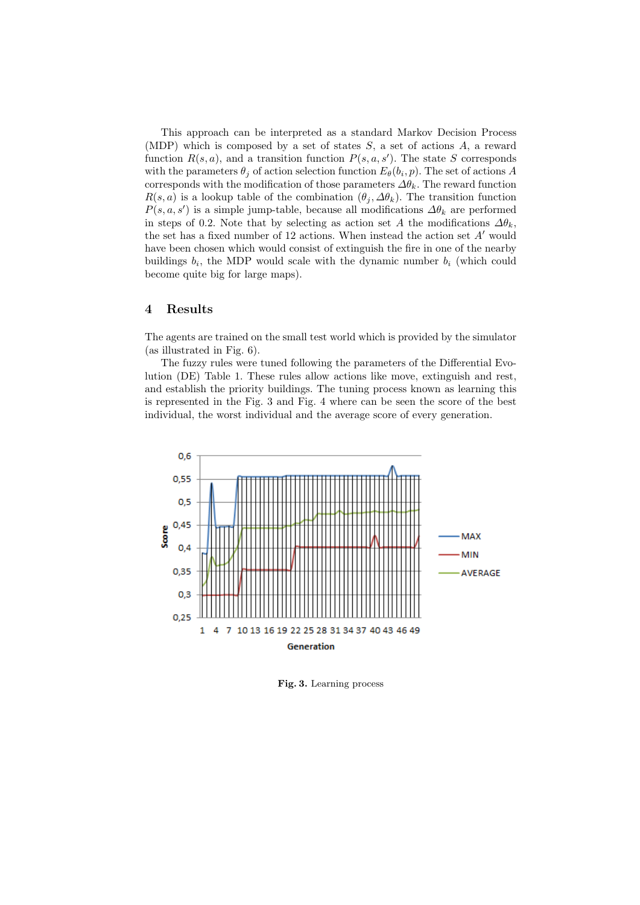This approach can be interpreted as a standard Markov Decision Process (MDP) which is composed by a set of states  $S$ , a set of actions  $A$ , a reward function  $R(s, a)$ , and a transition function  $P(s, a, s')$ . The state S corresponds with the parameters  $\theta_j$  of action selection function  $E_{\theta}(b_i, p)$ . The set of actions A corresponds with the modification of those parameters  $\Delta\theta_k$ . The reward function  $R(s, a)$  is a lookup table of the combination  $(\theta_j, \Delta\theta_k)$ . The transition function  $P(s, a, s')$  is a simple jump-table, because all modifications  $\Delta \theta_k$  are performed in steps of 0.2. Note that by selecting as action set A the modifications  $\Delta\theta_k$ , the set has a fixed number of 12 actions. When instead the action set  $A'$  would have been chosen which would consist of extinguish the fire in one of the nearby buildings  $b_i$ , the MDP would scale with the dynamic number  $b_i$  (which could become quite big for large maps).

#### 4 Results

The agents are trained on the small test world which is provided by the simulator (as illustrated in Fig. 6).

The fuzzy rules were tuned following the parameters of the Differential Evolution (DE) Table 1. These rules allow actions like move, extinguish and rest, and establish the priority buildings. The tuning process known as learning this is represented in the Fig. 3 and Fig. 4 where can be seen the score of the best individual, the worst individual and the average score of every generation.



Fig. 3. Learning process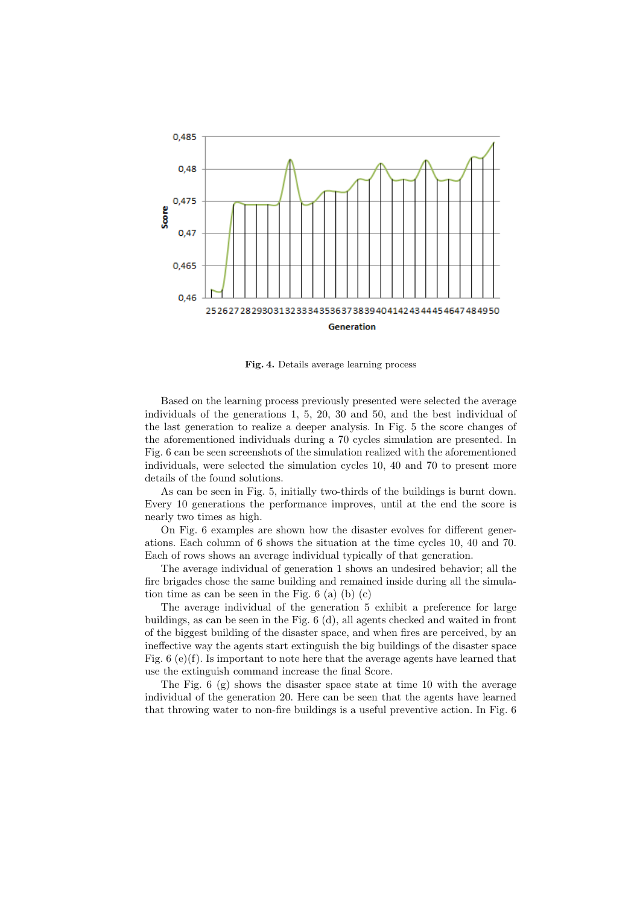

Fig. 4. Details average learning process

Based on the learning process previously presented were selected the average individuals of the generations 1, 5, 20, 30 and 50, and the best individual of the last generation to realize a deeper analysis. In Fig. 5 the score changes of the aforementioned individuals during a 70 cycles simulation are presented. In Fig. 6 can be seen screenshots of the simulation realized with the aforementioned individuals, were selected the simulation cycles 10, 40 and 70 to present more details of the found solutions.

As can be seen in Fig. 5, initially two-thirds of the buildings is burnt down. Every 10 generations the performance improves, until at the end the score is nearly two times as high.

On Fig. 6 examples are shown how the disaster evolves for different generations. Each column of 6 shows the situation at the time cycles 10, 40 and 70. Each of rows shows an average individual typically of that generation.

The average individual of generation 1 shows an undesired behavior; all the fire brigades chose the same building and remained inside during all the simulation time as can be seen in the Fig.  $6$  (a) (b) (c)

The average individual of the generation 5 exhibit a preference for large buildings, as can be seen in the Fig. 6 (d), all agents checked and waited in front of the biggest building of the disaster space, and when fires are perceived, by an ineffective way the agents start extinguish the big buildings of the disaster space Fig. 6 (e)(f). Is important to note here that the average agents have learned that use the extinguish command increase the final Score.

The Fig. 6 (g) shows the disaster space state at time 10 with the average individual of the generation 20. Here can be seen that the agents have learned that throwing water to non-fire buildings is a useful preventive action. In Fig. 6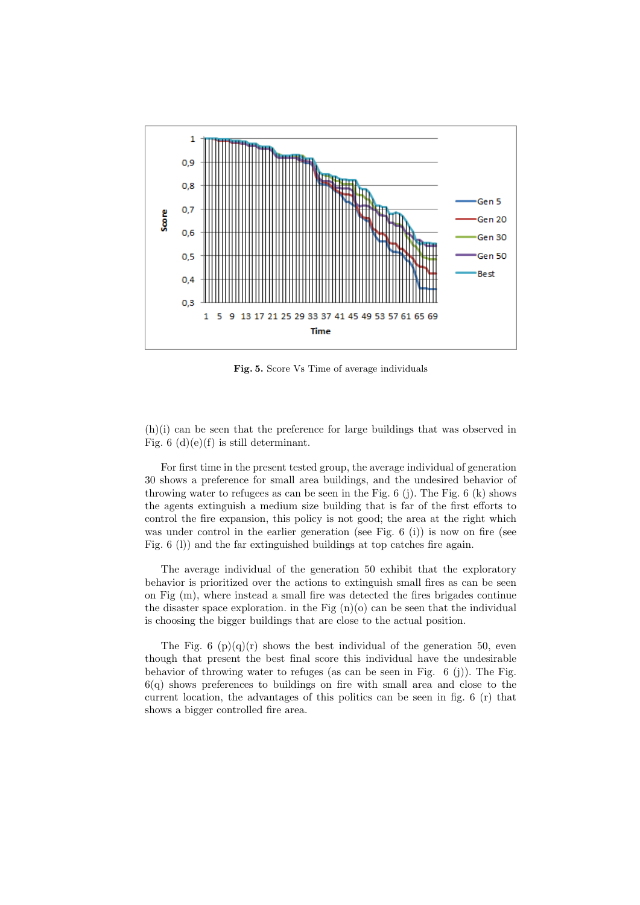

Fig. 5. Score Vs Time of average individuals

(h)(i) can be seen that the preference for large buildings that was observed in Fig.  $6(d)(e)(f)$  is still determinant.

For first time in the present tested group, the average individual of generation 30 shows a preference for small area buildings, and the undesired behavior of throwing water to refugees as can be seen in the Fig.  $6$  (j). The Fig.  $6$  (k) shows the agents extinguish a medium size building that is far of the first efforts to control the fire expansion, this policy is not good; the area at the right which was under control in the earlier generation (see Fig. 6 (i)) is now on fire (see Fig. 6 (l)) and the far extinguished buildings at top catches fire again.

The average individual of the generation 50 exhibit that the exploratory behavior is prioritized over the actions to extinguish small fires as can be seen on Fig (m), where instead a small fire was detected the fires brigades continue the disaster space exploration. in the Fig  $(n)(o)$  can be seen that the individual is choosing the bigger buildings that are close to the actual position.

The Fig. 6  $(p)(q)(r)$  shows the best individual of the generation 50, even though that present the best final score this individual have the undesirable behavior of throwing water to refuges (as can be seen in Fig.  $6$  (j)). The Fig. 6(q) shows preferences to buildings on fire with small area and close to the current location, the advantages of this politics can be seen in fig. 6 (r) that shows a bigger controlled fire area.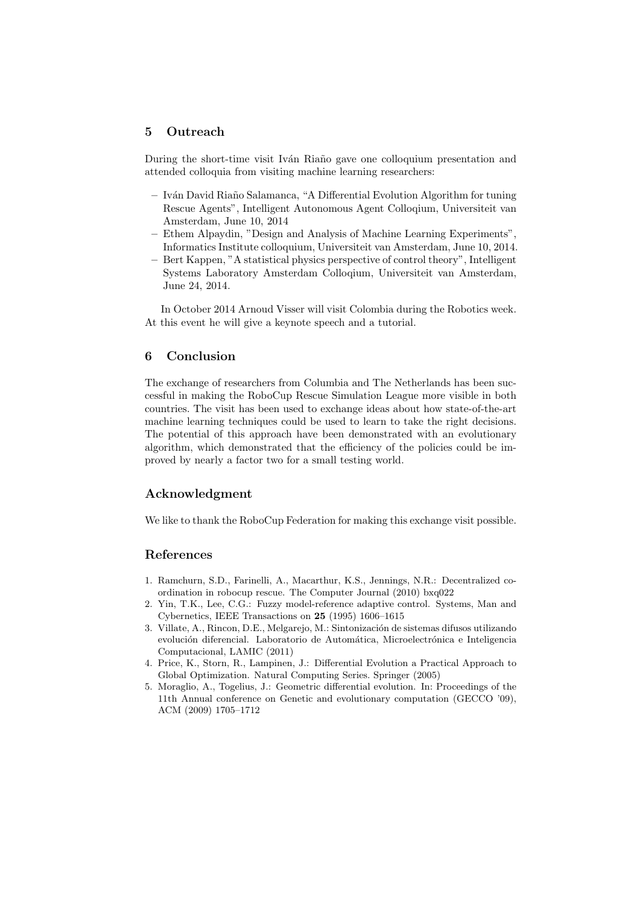#### 5 Outreach

During the short-time visit Iván Riaño gave one colloquium presentation and attended colloquia from visiting machine learning researchers:

- Iv´an David Ria˜no Salamanca, "A Differential Evolution Algorithm for tuning Rescue Agents", Intelligent Autonomous Agent Colloqium, Universiteit van Amsterdam, June 10, 2014
- Ethem Alpaydin, "Design and Analysis of Machine Learning Experiments", Informatics Institute colloquium, Universiteit van Amsterdam, June 10, 2014.
- Bert Kappen, "A statistical physics perspective of control theory", Intelligent Systems Laboratory Amsterdam Colloqium, Universiteit van Amsterdam, June 24, 2014.

In October 2014 Arnoud Visser will visit Colombia during the Robotics week. At this event he will give a keynote speech and a tutorial.

#### 6 Conclusion

The exchange of researchers from Columbia and The Netherlands has been successful in making the RoboCup Rescue Simulation League more visible in both countries. The visit has been used to exchange ideas about how state-of-the-art machine learning techniques could be used to learn to take the right decisions. The potential of this approach have been demonstrated with an evolutionary algorithm, which demonstrated that the efficiency of the policies could be improved by nearly a factor two for a small testing world.

#### Acknowledgment

We like to thank the RoboCup Federation for making this exchange visit possible.

#### References

- 1. Ramchurn, S.D., Farinelli, A., Macarthur, K.S., Jennings, N.R.: Decentralized coordination in robocup rescue. The Computer Journal (2010) bxq022
- 2. Yin, T.K., Lee, C.G.: Fuzzy model-reference adaptive control. Systems, Man and Cybernetics, IEEE Transactions on 25 (1995) 1606–1615
- 3. Villate, A., Rincon, D.E., Melgarejo, M.: Sintonización de sistemas difusos utilizando evolución diferencial. Laboratorio de Automática, Microelectrónica e Inteligencia Computacional, LAMIC (2011)
- 4. Price, K., Storn, R., Lampinen, J.: Differential Evolution a Practical Approach to Global Optimization. Natural Computing Series. Springer (2005)
- 5. Moraglio, A., Togelius, J.: Geometric differential evolution. In: Proceedings of the 11th Annual conference on Genetic and evolutionary computation (GECCO '09), ACM (2009) 1705–1712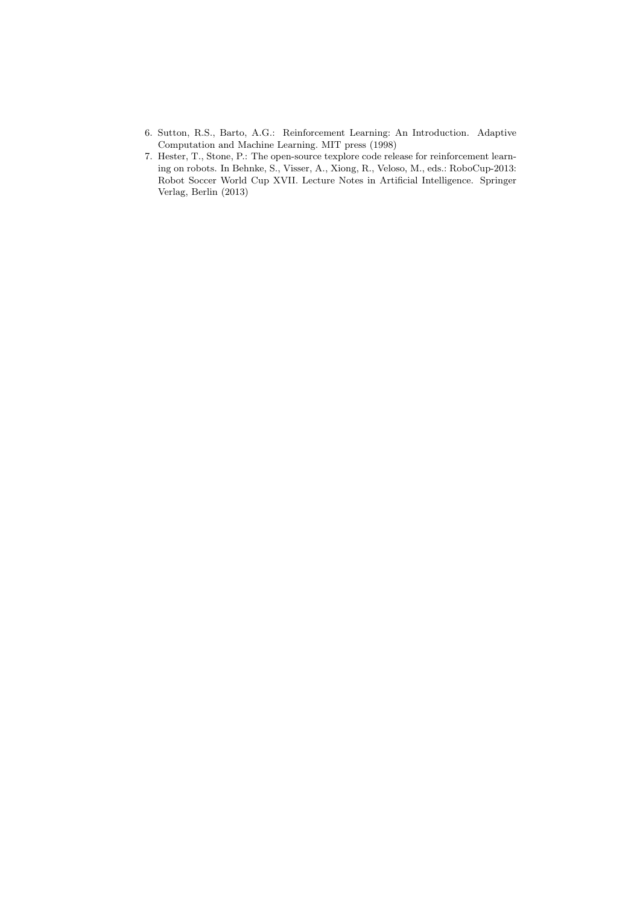- 6. Sutton, R.S., Barto, A.G.: Reinforcement Learning: An Introduction. Adaptive Computation and Machine Learning. MIT press (1998)
- 7. Hester, T., Stone, P.: The open-source texplore code release for reinforcement learning on robots. In Behnke, S., Visser, A., Xiong, R., Veloso, M., eds.: RoboCup-2013: Robot Soccer World Cup XVII. Lecture Notes in Artificial Intelligence. Springer Verlag, Berlin (2013)